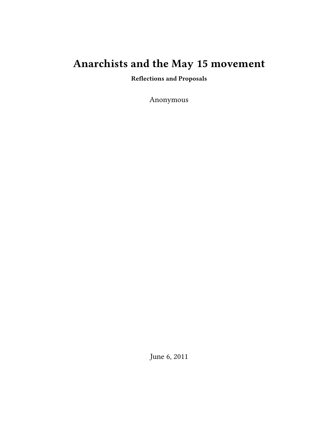# **Anarchists and the May 15 movement**

**Reflections and Proposals**

Anonymous

June 6, 2011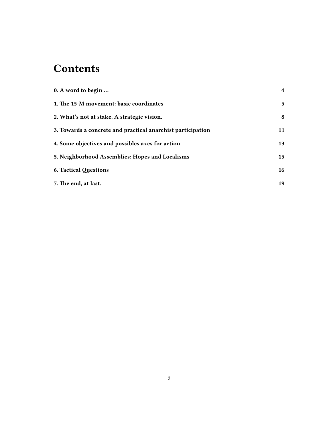# **Contents**

| 0. A word to begin                                          | $\overline{\mathbf{4}}$ |
|-------------------------------------------------------------|-------------------------|
| 1. The 15-M movement: basic coordinates                     | 5                       |
| 2. What's not at stake. A strategic vision.                 | 8                       |
| 3. Towards a concrete and practical anarchist participation | 11                      |
| 4. Some objectives and possibles axes for action            | 13                      |
| 5. Neighborhood Assemblies: Hopes and Localisms             | 15                      |
| <b>6. Tactical Questions</b>                                | 16                      |
| 7. The end, at last.                                        | 19                      |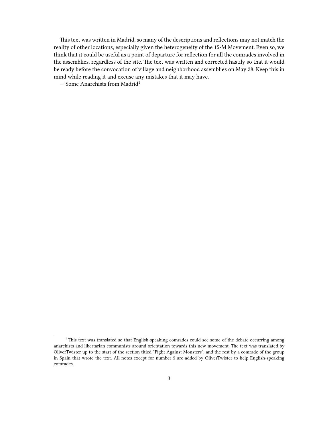This text was written in Madrid, so many of the descriptions and reflections may not match the reality of other locations, especially given the heterogeneity of the 15-M Movement. Even so, we think that it could be useful as a point of departure for reflection for all the comrades involved in the assemblies, regardless of the site. The text was written and corrected hastily so that it would be ready before the convocation of village and neighborhood assemblies on May 28. Keep this in mind while reading it and excuse any mistakes that it may have.

 $-$  Some Anarchists from Madrid<sup>1</sup>

<sup>&</sup>lt;sup>1</sup> This text was translated so that English-speaking comrades could see some of the debate occurring among anarchists and libertarian communists around orientation towards this new movement. The text was translated by OliverTwister up to the start of the section titled "Fight Against Monsters", and the rest by a comrade of the group in Spain that wrote the text. All notes except for number 5 are added by OliverTwister to help English-speaking comrades.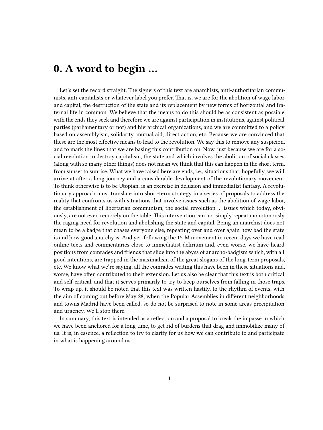### <span id="page-3-0"></span>**0. A word to begin …**

Let's set the record straight. The signers of this text are anarchists, anti-authoritarian communists, anti-capitalists or whatever label you prefer. That is, we are for the abolition of wage labor and capital, the destruction of the state and its replacement by new forms of horizontal and fraternal life in common. We believe that the means to do this should be as consistent as possible with the ends they seek and therefore we are against participation in institutions, against political parties (parliamentary or not) and hierarchical organizations, and we are committed to a policy based on assemblyism, solidarity, mutual aid, direct action, etc. Because we are convinced that these are the most effective means to lead to the revolution. We say this to remove any suspicion, and to mark the lines that we are basing this contribution on. Now, just because we are for a social revolution to destroy capitalism, the state and which involves the abolition of social classes (along with so many other things) does not mean we think that this can happen in the short term, from sunset to sunrise. What we have raised here are ends, i.e., situations that, hopefully, we will arrive at after a long journey and a considerable development of the revolutionary movement. To think otherwise is to be Utopian, is an exercise in delusion and immediatist fantasy. A revolutionary approach must translate into short-term strategy in a series of proposals to address the reality that confronts us with situations that involve issues such as the abolition of wage labor, the establishment of libertarian communism, the social revolution … issues which today, obviously, are not even remotely on the table. This intervention can not simply repeat monotonously the raging need for revolution and abolishing the state and capital. Being an anarchist does not mean to be a badge that chases everyone else, repeating over and over again how bad the state is and how good anarchy is. And yet, following the 15-M movement in recent days we have read online texts and commentaries close to immediatist delirium and, even worse, we have heard positions from comrades and friends that slide into the abyss of anarcho-badgism which, with all good intentions, are trapped in the maximalism of the great slogans of the long-term proposals, etc. We know what we're saying, all the comrades writing this have been in these situations and, worse, have often contributed to their extension. Let us also be clear that this text is both critical and self-critical, and that it serves primarily to try to keep ourselves from falling in those traps. To wrap up, it should be noted that this text was written hastily, to the rhythm of events, with the aim of coming out before May 28, when the Popular Assemblies in different neighborhoods and towns Madrid have been called, so do not be surprised to note in some areas precipitation and urgency. We'll stop there.

In summary, this text is intended as a reflection and a proposal to break the impasse in which we have been anchored for a long time, to get rid of burdens that drag and immobilize many of us. It is, in essence, a reflection to try to clarify for us how we can contribute to and participate in what is happening around us.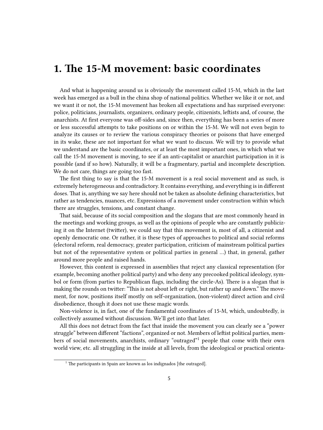### <span id="page-4-0"></span>**1. The 15-M movement: basic coordinates**

And what is happening around us is obviously the movement called 15-M, which in the last week has emerged as a bull in the china shop of national politics. Whether we like it or not, and we want it or not, the 15-M movement has broken all expectations and has surprised everyone: police, politicians, journalists, organizers, ordinary people, citizenists, leftists and, of course, the anarchists. At first everyone was off-sides and, since then, everything has been a series of more or less successful attempts to take positions on or within the 15-M. We will not even begin to analyze its causes or to review the various conspiracy theories or poisons that have emerged in its wake, these are not important for what we want to discuss. We will try to provide what we understand are the basic coordinates, or at least the most important ones, in which what we call the 15-M movement is moving, to see if an anti-capitalist or anarchist participation in it is possible (and if so how). Naturally, it will be a fragmentary, partial and incomplete description. We do not care, things are going too fast.

The first thing to say is that the 15-M movement is a real social movement and as such, is extremely heterogeneous and contradictory. It contains everything, and everything is in different doses. That is, anything we say here should not be taken as absolute defining characteristics, but rather as tendencies, nuances, etc. Expressions of a movement under construction within which there are struggles, tensions, and constant change.

That said, because of its social composition and the slogans that are most commonly heard in the meetings and working groups, as well as the opinions of people who are constantly publicizing it on the Internet (twitter), we could say that this movement is, most of all, a citizenist and openly democratic one. Or rather, it is these types of approaches to political and social reforms (electoral reform, real democracy, greater participation, criticism of mainstream political parties but not of the representative system or political parties in general …) that, in general, gather around more people and raised hands.

However, this content is expressed in assemblies that reject any classical representation (for example, becoming another political party) and who deny any precooked political ideology, symbol or form (from parties to Republican flags, including the circle-As). There is a slogan that is making the rounds on twitter: "This is not about left or right, but rather up and down." The movement, for now, positions itself mostly on self-organization, (non-violent) direct action and civil disobedience, though it does not use these magic words.

Non-violence is, in fact, one of the fundamental coordinates of 15-M, which, undoubtedly, is collectively assumed without discussion. We'll get into that later.

All this does not detract from the fact that inside the movement you can clearly see a "power struggle" between different "factions", organized or not. Members of leftist political parties, members of social movements, anarchists, ordinary "outraged"<sup>1</sup> people that come with their own world view, etc. all struggling in the inside at all levels, from the ideological or practical orienta-

 $1$  The participants in Spain are known as los indignados [the outraged].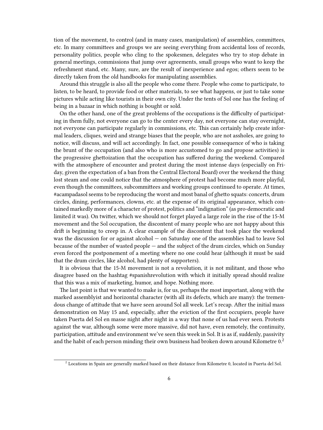tion of the movement, to control (and in many cases, manipulation) of assemblies, committees, etc. In many committees and groups we are seeing everything from accidental loss of records, personality politics, people who cling to the spokesmen, delegates who try to stop debate in general meetings, commissions that jump over agreements, small groups who want to keep the refreshment stand, etc. Many, sure, are the result of inexperience and egos; others seem to be directly taken from the old handbooks for manipulating assemblies.

Around this struggle is also all the people who come there. People who come to participate, to listen, to be heard, to provide food or other materials, to see what happens, or just to take some pictures while acting like tourists in their own city. Under the tents of Sol one has the feeling of being in a bazaar in which nothing is bought or sold.

On the other hand, one of the great problems of the occupations is the difficulty of participating in them fully, not everyone can go to the center every day, not everyone can stay overnight, not everyone can participate regularly in commissions, etc. This can certainly help create informal leaders, cliques, weird and strange biases that the people, who are not assholes, are going to notice, will discuss, and will act accordingly. In fact, one possible consequence of who is taking the brunt of the occupation (and also who is more accustomed to go and propose activities) is the progressive ghettoization that the occupation has suffered during the weekend. Compared with the atmosphere of encounter and protest during the most intense days (especially on Friday, given the expectation of a ban from the Central Electoral Board) over the weekend the thing lost steam and one could notice that the atmosphere of protest had become much more playful, even though the committees, subcommittees and working groups continued to operate. At times, #acampadasol seems to be reproducing the worst and most banal of ghetto squats: concerts, drum circles, dining, performances, clowns, etc. at the expense of its original appearance, which contained markedly more of a character of protest, politics and "indignation" (as pro-democratic and limited it was). On twitter, which we should not forget played a large role in the rise of the 15-M movement and the Sol occupation, the discontent of many people who are not happy about this drift is beginning to creep in. A clear example of the discontent that took place the weekend was the discussion for or against alcohol — on Saturday one of the assemblies had to leave Sol because of the number of wasted people — and the subject of the drum circles, which on Sunday even forced the postponement of a meeting where no one could hear (although it must be said that the drum circles, like alcohol, had plenty of supporters).

It is obvious that the 15-M movement is not a revolution, it is not militant, and those who disagree based on the hashtag #spanishrevolution with which it initially spread should realize that this was a mix of marketing, humor, and hope. Nothing more.

The last point is that we wanted to make is, for us, perhaps the most important, along with the marked assemblyist and horizontal character (with all its defects, which are many): the tremendous change of attitude that we have seen around Sol all week. Let's recap. After the initial mass demonstration on May 15 and, especially, after the eviction of the first occupiers, people have taken Puerta del Sol en masse night after night in a way that none of us had ever seen. Protests against the war, although some were more massive, did not have, even remotely, the continuity, participation, attitude and environment we've seen this week in Sol. It is as if, suddenly, passivity and the habit of each person minding their own business had broken down around Kilometre  $0<sup>2</sup>$ 

 $^2$  Locations in Spain are generally marked based on their distance from Kilometre 0, located in Puerta del Sol.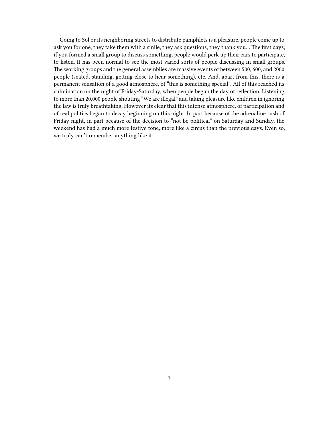Going to Sol or its neighboring streets to distribute pamphlets is a pleasure, people come up to ask you for one, they take them with a smile, they ask questions, they thank you… The first days, if you formed a small group to discuss something, people would perk up their ears to participate, to listen. It has been normal to see the most varied sorts of people discussing in small groups. The working groups and the general assemblies are massive events of between 500, 600, and 2000 people (seated, standing, getting close to hear something), etc. And, apart from this, there is a permanent sensation of a good atmosphere, of "this is something special". All of this reached its culmination on the night of Friday-Saturday, when people began the day of reflection. Listening to more than 20,000 people shouting "We are illegal" and taking pleasure like children in ignoring the law is truly breathtaking. However its clear that this intense atmosphere, of participation and of real politics began to decay beginning on this night. In part because of the adrenaline rush of Friday night, in part because of the decision to "not be political" on Saturday and Sunday, the weekend has had a much more festive tone, more like a circus than the previous days. Even so, we truly can't remember anything like it.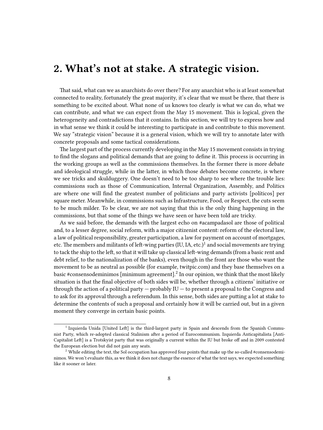#### <span id="page-7-0"></span>**2. What's not at stake. A strategic vision.**

That said, what can we as anarchists do over there? For any anarchist who is at least somewhat connected to reality, fortunately the great majority, it's clear that we must be there, that there is something to be excited about. What none of us knows too clearly is what we can do, what we can contribute, and what we can expect from the May 15 movement. This is logical, given the heterogeneity and contradictions that it contains. In this section, we will try to express how and in what sense we think it could be interesting to participate in and contribute to this movement. We say "strategic vision" because it is a general vision, which we will try to annotate later with concrete proposals and some tactical considerations.

The largest part of the process currently developing in the May 15 movement consists in trying to find the slogans and political demands that are going to define it. This process is occurring in the working groups as well as the commissions themselves. In the former there is more debate and ideological struggle, while in the latter, in which those debates become concrete, is where we see tricks and skulduggery. One doesn't need to be too sharp to see where the trouble lies: commissions such as those of Communication, Internal Organization, Assembly, and Politics are where one will find the greatest number of politicians and party activists [políticos] per square meter. Meanwhile, in commissions such as Infrastructure, Food, or Respect, the cuts seem to be much milder. To be clear, we are not saying that this is the only thing happening in the commissions, but that some of the things we have seen or have been told are tricky.

As we said before, the demands with the largest echo on #acampadasol are those of political and, to a lesser degree, social reform, with a major citizenist content: reform of the electoral law, a law of political responsibility, greater participation, a law for payment on account of mortgages, etc. The members and militants of left-wing parties (IU, IA, etc.) $^1$  and social movements are trying to tack the ship to the left, so that it will take up classical left-wing demands (from a basic rent and debt relief, to the nationalization of the banks), even though in the front are those who want the movement to be as neutral as possible (for example, [twitpic.com\)](http://twitpic.com/51lyqa) and they base themselves on a basic #consensodeminimos [minimum agreement].<sup>2</sup> In our opinion, we think that the most likely situation is that the final objective of both sides will be, whether through a citizens' initiative or through the action of a political party — probably IU — to present a proposal to the Congress and to ask for its approval through a referendum. In this sense, both sides are putting a lot at stake to determine the contents of such a proposal and certainly how it will be carried out, but in a given moment they converge in certain basic points.

<sup>&</sup>lt;sup>1</sup> Izquierda Unida [United Left] is the third-largest party in Spain and descends from the Spanish Communist Party, which re-adopted classical Stalinism after a period of Eurocommunism. Izquierda Anticapitalista [Anti-Capitalist Left] is a Trotskyist party that was originally a current within the IU but broke off and in 2009 contested the European election but did not gain any seats.

 $2$  While editing the text, the Sol occupation has approved four points that make up the so-called #consensodeminimos. We won't evaluate this, as we think it does not change the essence of what the text says, we expected something like it sooner or later.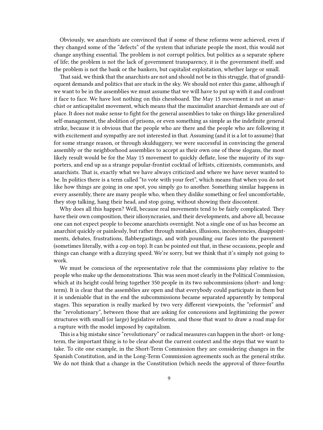Obviously, we anarchists are convinced that if some of these reforms were achieved, even if they changed some of the "defects" of the system that infuriate people the most, this would not change anything essential. The problem is not corrupt politics, but politics as a separate sphere of life; the problem is not the lack of government transparency, it is the government itself; and the problem is not the bank or the bankers, but capitalist exploitation, whether large or small.

That said, we think that the anarchists are not and should not be in this struggle, that of grandiloquent demands and politics that are stuck in the sky. We should not enter this game, although if we want to be in the assemblies we must assume that we will have to put up with it and confront it face to face. We have lost nothing on this chessboard. The May 15 movement is not an anarchist or anticapitalist movement, which means that the maximalist anarchist demands are out of place. It does not make sense to fight for the general assemblies to take on things like generalized self-management, the abolition of prisons, or even something as simple as the indefinite general strike, because it is obvious that the people who are there and the people who are following it with excitement and sympathy are not interested in that. Assuming (and it is a lot to assume) that for some strange reason, or through skulduggery, we were successful in convincing the general assembly or the neighborhood assemblies to accept as their own one of these slogans, the most likely result would be for the May 15 movement to quickly deflate, lose the majority of its supporters, and end up as a strange popular-frontist cocktail of leftists, citizenists, communists, and anarchists. That is, exactly what we have always criticized and where we have never wanted to be. In politics there is a term called "to vote with your feet", which means that when you do not like how things are going in one spot, you simply go to another. Something similar happens in every assembly, there are many people who, when they dislike something or feel uncomfortable, they stop talking, hang their head, and stop going, without showing their discontent.

Why does all this happen? Well, because real movements tend to be fairly complicated. They have their own composition, their idiosyncrasies, and their developments, and above all, because one can not expect people to become anarchists overnight. Not a single one of us has become an anarchist quickly or painlessly, but rather through mistakes, illusions, incoherencies, disappointments, debates, frustrations, flabbergastings, and with pounding our faces into the pavement (sometimes literally, with a cop on top). It can be pointed out that, in these occasions, people and things can change with a dizzying speed. We're sorry, but we think that it's simply not going to work.

We must be conscious of the representative role that the commissions play relative to the people who make up the demonstrations. This was seen most clearly in the Political Commission, which at its height could bring together 350 people in its two subcommissions (short- and longterm). It is clear that the assemblies are open and that everybody could participate in them but it is undeniable that in the end the subcommissions became separated apparently by temporal stages. This separation is really marked by two very different viewpoints, the "reformist" and the "revolutionary", between those that are asking for concessions and legitimizing the power structures with small (or large) legislative reforms, and those that want to draw a road map for a rupture with the model imposed by capitalism.

This is a big mistake since "revolutionary" or radical measures can happen in the short- or longterm, the important thing is to be clear about the current context and the steps that we want to take. To cite one example, in the Short-Term Commission they are considering changes in the Spanish Constitution, and in the Long-Term Commission agreements such as the general strike. We do not think that a change in the Constitution (which needs the approval of three-fourths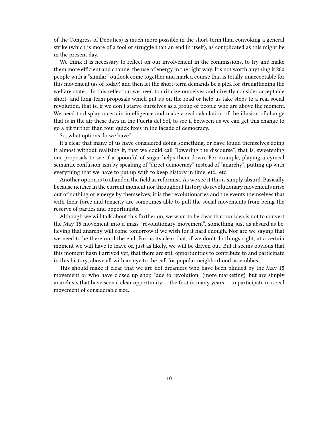of the Congress of Deputies) is much more possible in the short-term than convoking a general strike (which is more of a tool of struggle than an end in itself), as complicated as this might be in the present day.

We think it is necessary to reflect on our involvement in the commissions, to try and make them more efficient and channel the use of energy in the right way. It's not worth anything if 200 people with a "similar" outlook come together and mark a course that is totally unacceptable for this movement (as of today) and then let the short-term demands be a plea for strengthening the welfare state… In this reflection we need to criticize ourselves and directly consider acceptable short- and long-term proposals which put us on the road or help us take steps to a real social revolution, that is, if we don't starve ourselves as a group of people who are above the moment. We need to display a certain intelligence and make a real calculation of the illusion of change that is in the air these days in the Puerta del Sol, to see if between us we can get this change to go a bit further than four quick fixes in the façade of democracy.

So, what options do we have?

It's clear that many of us have considered doing something, or have found themselves doing it almost without realizing it, that we could call "lowering the discourse", that is, sweetening our proposals to see if a spoonful of sugar helps them down. For example, playing a cynical semantic confusion-ism by speaking of "direct democracy" instead of "anarchy", putting up with everything that we have to put up with to keep history in time, etc., etc.

Another option is to abandon the field as reformist. As we see it this is simply absurd. Basically because neither in the current moment nor throughout history do revolutionary movements arise out of nothing or emerge by themselves; it is the revolutionaries and the events themselves that with their force and tenacity are sometimes able to pull the social movements from being the reserve of parties and opportunists.

Although we will talk about this further on, we want to be clear that our idea is not to convert the May 15 movement into a mass "revolutionary movement", something just as absurd as believing that anarchy will come tomorrow if we wish for it hard enough. Nor are we saying that we need to be there until the end. For us its clear that, if we don't do things right, at a certain moment we will have to leave or, just as likely, we will be driven out. But it seems obvious that this moment hasn't arrived yet, that there are still opportunities to contribute to and participate in this history, above all with an eye to the call for popular neighborhood assemblies.

This should make it clear that we are not dreamers who have been blinded by the May 15 movement or who have closed up shop "due to revolution" (more marketing), but are simply anarchists that have seen a clear opportunity — the first in many years — to participate in a real movement of considerable size.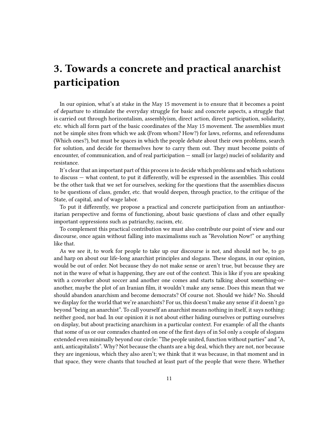## <span id="page-10-0"></span>**3. Towards a concrete and practical anarchist participation**

In our opinion, what's at stake in the May 15 movement is to ensure that it becomes a point of departure to stimulate the everyday struggle for basic and concrete aspects, a struggle that is carried out through horizontalism, assemblyism, direct action, direct participation, solidarity, etc. which all form part of the basic coordinates of the May 15 movement. The assemblies must not be simple sites from which we ask (From whom? How?) for laws, reforms, and referendums (Which ones?), but must be spaces in which the people debate about their own problems, search for solution, and decide for themselves how to carry them out. They must become points of encounter, of communication, and of real participation — small (or large) nuclei of solidarity and resistance.

It's clear that an important part of this process is to decide which problems and which solutions to discuss — what content, to put it differently, will be expressed in the assemblies. This could be the other task that we set for ourselves, seeking for the questions that the assemblies discuss to be questions of class, gender, etc. that would deepen, through practice, to the critique of the State, of capital, and of wage labor.

To put it differently, we propose a practical and concrete participation from an antiauthoritarian perspective and forms of functioning, about basic questions of class and other equally important oppressions such as patriarchy, racism, etc.

To complement this practical contribution we must also contribute our point of view and our discourse, once again without falling into maximalisms such as "Revolution Now!" or anything like that.

As we see it, to work for people to take up our discourse is not, and should not be, to go and harp on about our life-long anarchist principles and slogans. These slogans, in our opinion, would be out of order. Not because they do not make sense or aren't true, but because they are not in the wave of what is happening, they are out of the context. This is like if you are speaking with a coworker about soccer and another one comes and starts talking about something-oranother, maybe the plot of an Iranian film, it wouldn't make any sense. Does this mean that we should abandon anarchism and become democrats? Of course not. Should we hide? No. Should we display for the world that we're anarchists? For us, this doesn't make any sense if it doesn't go beyond "being an anarchist". To call yourself an anarchist means nothing in itself, it says nothing: neither good, nor bad. In our opinion it is not about either hiding ourselves or putting ourselves on display, but about practicing anarchism in a particular context. For example: of all the chants that some of us or our comrades chanted on one of the first days of in Sol only a couple of slogans extended even minimally beyond our circle: "The people united, function without parties" and "A, anti, anticapitalists". Why? Not because the chants are a big deal, which they are not, nor because they are ingenious, which they also aren't; we think that it was because, in that moment and in that space, they were chants that touched at least part of the people that were there. Whether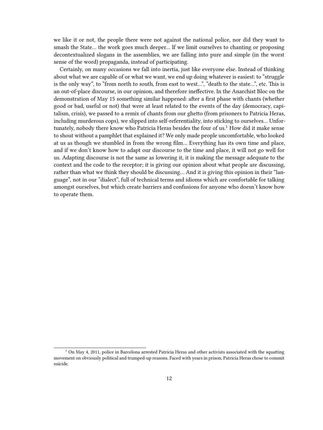we like it or not, the people there were not against the national police, nor did they want to smash the State… the work goes much deeper… If we limit ourselves to chanting or proposing decontextualized slogans in the assemblies, we are falling into pure and simple (in the worst sense of the word) propaganda, instead of participating.

Certainly, on many occasions we fall into inertia, just like everyone else. Instead of thinking about what we are capable of or what we want, we end up doing whatever is easiest: to "struggle is the only way", to "from north to south, from east to west…", "death to the state…", etc. This is an out-of-place discourse, in our opinion, and therefore ineffective. In the Anarchist Bloc on the demonstration of May 15 something similar happened: after a first phase with chants (whether good or bad, useful or not) that were at least related to the events of the day (democracy, capitalism, crisis), we passed to a remix of chants from our ghetto (from prisoners to Patricia Heras, including murderous cops), we slipped into self-referentiality, into sticking to ourselves… Unfortunately, nobody there know who Patricia Heras besides the four of  $us<sup>1</sup>$  How did it make sense to shout without a pamphlet that explained it? We only made people uncomfortable, who looked at us as though we stumbled in from the wrong film… Everything has its own time and place, and if we don't know how to adapt our discourse to the time and place, it will not go well for us. Adapting discourse is not the same as lowering it, it is making the message adequate to the context and the code to the receptor; it is giving our opinion about what people are discussing, rather than what we think they should be discussing… And it is giving this opinion in their "language", not in our "dialect", full of technical terms and idioms which are comfortable for talking amongst ourselves, but which create barriers and confusions for anyone who doesn't know how to operate them.

<sup>&</sup>lt;sup>1</sup> On May 4, 2011, police in Barcelona arrested Patricia Heras and other activists associated with the squatting movement on obviously political and trumped-up reasons. Faced with years in prison, Patricia Heras chose to commit suicide.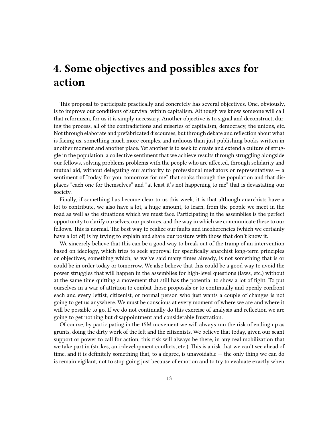# <span id="page-12-0"></span>**4. Some objectives and possibles axes for action**

This proposal to participate practically and concretely has several objectives. One, obviously, is to improve our conditions of survival within capitalism. Although we know someone will call that reformism, for us it is simply necessary. Another objective is to signal and deconstruct, during the process, all of the contradictions and miseries of capitalism, democracy, the unions, etc. Not through elaborate and prefabricated discourses, but through debate and reflection about what is facing us, something much more complex and arduous than just publishing books written in another moment and another place. Yet another is to seek to create and extend a culture of struggle in the population, a collective sentiment that we achieve results through struggling alongside our fellows, solving problems problems with the people who are affected, through solidarity and mutual aid, without delegating our authority to professional mediators or representatives  $-$  a sentiment of "today for you, tomorrow for me" that soaks through the population and that displaces "each one for themselves" and "at least it's not happening to me" that is devastating our society.

Finally, if something has become clear to us this week, it is that although anarchists have a lot to contribute, we also have a lot, a huge amount, to learn, from the people we meet in the road as well as the situations which we must face. Participating in the assemblies is the perfect opportunity to clarify ourselves, our postures, and the way in which we communicate these to our fellows. This is normal. The best way to realize our faults and incoherencies (which we certainly have a lot of) is by trying to explain and share our posture with those that don't know it.

We sincerely believe that this can be a good way to break out of the tramp of an intervention based on ideology, which tries to seek approval for specifically anarchist long-term principles or objectives, something which, as we've said many times already, is not something that is or could be in order today or tomorrow. We also believe that this could be a good way to avoid the power struggles that will happen in the assemblies for high-level questions (laws, etc.) without at the same time quitting a movement that still has the potential to show a lot of fight. To put ourselves in a war of attrition to combat those proposals or to continually and openly confront each and every leftist, citizenist, or normal person who just wants a couple of changes is not going to get us anywhere. We must be conscious at every moment of where we are and where it will be possible to go. If we do not continually do this exercise of analysis and reflection we are going to get nothing but disappointment and considerable frustration.

Of course, by participating in the 15M movement we will always run the risk of ending up as grunts, doing the dirty work of the left and the citizenists. We believe that today, given our scant support or power to call for action, this risk will always be there, in any real mobilization that we take part in (strikes, anti-development conflicts, etc.). This is a risk that we can't see ahead of time, and it is definitely something that, to a degree, is unavoidable — the only thing we can do is remain vigilant, not to stop going just because of emotion and to try to evaluate exactly when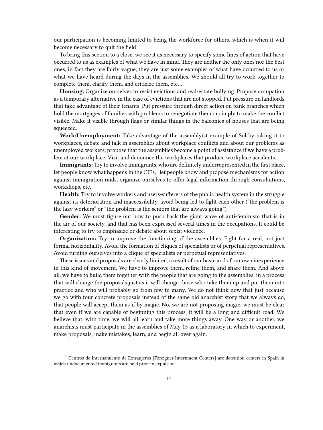our participation is becoming limited to being the workforce for others, which is when it will become necessary to quit the field

To bring this section to a close, we see it as necessary to specify some lines of action that have occurred to us as examples of what we have in mind. They are neither the only ones nor the best ones, in fact they are fairly vague, they are just some examples of what have occurred to us or what we have heard during the days in the assemblies. We should all try to work together to complete them, clarify them, and criticize them, etc…

**Housing:** Organize ourselves to resist evictions and real-estate bullying. Propose occupation as a temporary alternative in the case of evictions that are not stopped. Put pressure on landlords that take advantage of their tenants. Put pressure through direct action on bank branches which hold the mortgages of families with problems to renegotiate them or simply to make the conflict visible. Make it visible through flags or similar things in the balconies of houses that are being squeezed.

**Work/Unemployment:** Take advantage of the assemblyist example of Sol by taking it to workplaces, debate and talk in assemblies about workplace conflicts and about our problems as unemployed workers, propose that the assemblies become a point of assistance if we have a problem at our workplace. Visit and denounce the workplaces that produce workplace accidents…

**Immigrants:** Try to involve immigrants, who are definitely underrepresented in the first place, let people know what happens in the CIEs, $^1$  let people know and propose mechanisms for action against immigration raids, organize ourselves to offer legal information through consultations, workshops, etc.

**Health:** Try to involve workers and users-sufferers of the public health system in the struggle against its deterioration and inaccessibility, avoid being led to fight each other ("the problem is the lazy workers" or "the problem is the seniors that are always going").

**Gender:** We must figure out how to push back the giant wave of anti-feminism that is in the air of our society, and that has been expressed several times in the occupations. It could be interesting to try to emphasize or debate about sexist violence.

**Organization:** Try to improve the functioning of the assemblies. Fight for a real, not just formal horizontality. Avoid the formation of cliques of specialists or of perpetual representatives. Avoid turning ourselves into a clique of specialists or perpetual representatives.

These issues and proposals are clearly limited, a result of our haste and of our own inexperience in this kind of movement. We have to improve them, refine them, and share them. And above all, we have to build them together with the people that are going to the assemblies, in a process that will change the proposals just as it will change those who take them up and put them into practice and who will probably go from few to many. We do not think now that just because we go with four concrete proposals instead of the same old anarchist story that we always do, that people will accept them as if by magic. No, we are not proposing magic, we must be clear that even if we are capable of beginning this process, it will be a long and difficult road. We believe that, with time, we will all learn and take more things away. One way or another, we anarchists must participate in the assemblies of May 15 as a laboratory in which to experiment, make proposals, make mistakes, learn, and begin all over again.

<sup>&</sup>lt;sup>1</sup> Centros de Internamiento de Extranjeros [Foreigner Internment Centers] are detention centers in Spain in which undocumented immigrants are held prior to expulsion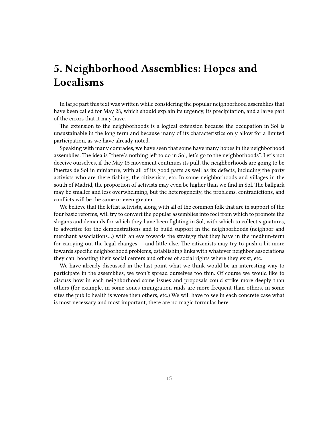# <span id="page-14-0"></span>**5. Neighborhood Assemblies: Hopes and Localisms**

In large part this text was written while considering the popular neighborhood assemblies that have been called for May 28, which should explain its urgency, its precipitation, and a large part of the errors that it may have.

The extension to the neighborhoods is a logical extension because the occupation in Sol is unsustainable in the long term and because many of its characteristics only allow for a limited participation, as we have already noted.

Speaking with many comrades, we have seen that some have many hopes in the neighborhood assemblies. The idea is "there's nothing left to do in Sol, let's go to the neighborhoods". Let's not deceive ourselves, if the May 15 movement continues its pull, the neighborhoods are going to be Puertas de Sol in miniature, with all of its good parts as well as its defects, including the party activists who are there fishing, the citizenists, etc. In some neighborhoods and villages in the south of Madrid, the proportion of activists may even be higher than we find in Sol. The ballpark may be smaller and less overwhelming, but the heterogeneity, the problems, contradictions, and conflicts will be the same or even greater.

We believe that the leftist activists, along with all of the common folk that are in support of the four basic reforms, will try to convert the popular assemblies into foci from which to promote the slogans and demands for which they have been fighting in Sol, with which to collect signatures, to advertise for the demonstrations and to build support in the neighborhoods (neighbor and merchant associations…) with an eye towards the strategy that they have in the medium-term for carrying out the legal changes — and little else. The citizenists may try to push a bit more towards specific neighborhood problems, establishing links with whatever neighbor associations they can, boosting their social centers and offices of social rights where they exist, etc.

We have already discussed in the last point what we think would be an interesting way to participate in the assemblies, we won't spread ourselves too thin. Of course we would like to discuss how in each neighborhood some issues and proposals could strike more deeply than others (for example, in some zones immigration raids are more frequent than others, in some sites the public health is worse then others, etc.) We will have to see in each concrete case what is most necessary and most important, there are no magic formulas here.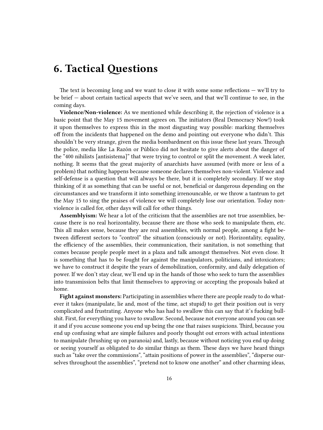### <span id="page-15-0"></span>**6. Tactical Questions**

The text is becoming long and we want to close it with some some reflections — we'll try to be brief — about certain tactical aspects that we've seen, and that we'll continue to see, in the coming days.

**Violence/Non-violence:** As we mentioned while describing it, the rejection of violence is a basic point that the May 15 movement agrees on. The initiators (Real Democracy Now!) took it upon themselves to express this in the most disgusting way possible: marking themselves off from the incidents that happened on the demo and pointing out everyone who didn't. This shouldn't be very strange, given the media bombardment on this issue these last years. Through the police, media like La Razón or Público did not hesitate to give alerts about the danger of the "400 nihilists [antisistema]" that were trying to control or split the movement. A week later, nothing. It seems that the great majority of anarchists have assumed (with more or less of a problem) that nothing happens because someone declares themselves non-violent. Violence and self-defense is a question that will always be there, but it is completely secondary. If we stop thinking of it as something that can be useful or not, beneficial or dangerous depending on the circumstances and we transform it into something irrenouncable, or we throw a tantrum to get the May 15 to sing the praises of violence we will completely lose our orientation. Today nonviolence is called for, other days will call for other things.

**Assemblyism:** We hear a lot of the criticism that the assemblies are not true assemblies, because there is no real horizontality, because there are those who seek to manipulate them, etc. This all makes sense, because they are real assemblies, with normal people, among a fight between different sectors to "control" the situation (consciously or not). Horizontality, equality, the efficiency of the assemblies, their communication, their sanitation, is not something that comes because people people meet in a plaza and talk amongst themselves. Not even close. It is something that has to be fought for against the manipulators, politicians, and intoxicators; we have to construct it despite the years of demobilization, conformity, and daily delegation of power. If we don't stay clear, we'll end up in the hands of those who seek to turn the assemblies into transmission belts that limit themselves to approving or accepting the proposals baked at home.

**Fight against monsters:** Participating in assemblies where there are people ready to do whatever it takes (manipulate, lie and, most of the time, act stupid) to get their position out is very complicated and frustrating. Anyone who has had to swallow this can say that it's fucking bullshit. First, for everything you have to swallow. Second, because not everyone around you can see it and if you accuse someone you end up being the one that raises suspicions. Third, because you end up confusing what are simple failures and poorly thought out errors with actual intentions to manipulate (brushing up on paranoia) and, lastly, because without noticing you end up doing or seeing yourself as obligated to do similar things as them. These days we have heard things such as "take over the commissions", "attain positions of power in the assemblies", "disperse ourselves throughout the assemblies", "pretend not to know one another" and other charming ideas,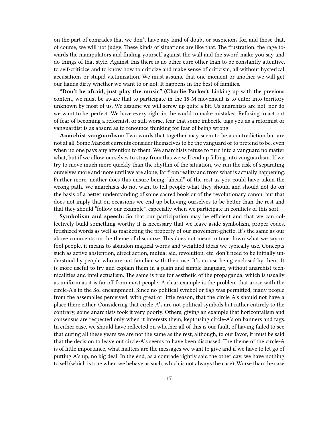on the part of comrades that we don't have any kind of doubt or suspicions for, and those that, of course, we will not judge. These kinds of situations are like that. The frustration, the rage towards the manipulators and finding yourself against the wall and the sword make you say and do things of that style. Against this there is no other cure other than to be constantly attentive, to self-criticize and to know how to criticize and make sense of criticism, all without hysterical accusations or stupid victimization. We must assume that one moment or another we will get our hands dirty whether we want to or not. It happens in the best of families.

**"Don't be afraid, just play the music" (Charlie Parker):** Linking up with the previous content, we must be aware that to participate in the 15-M movement is to enter into territory unknown by most of us. We assume we will screw up quite a bit. Us anarchists are not, nor do we want to be, perfect. We have every right in the world to make mistakes. Refusing to act out of fear of becoming a reformist, or still worse, fear that some imbecile tags you as a reformist or vanguardist is as absurd as to renounce thinking for fear of being wrong.

**Anarchist vanguardism:** Two words that together may seem to be a contradiction but are not at all. Some Marxist currents consider themselves to be the vanguard or to pretend to be, even when no one pays any attention to them. We anarchists refuse to turn into a vanguard no matter what, but if we allow ourselves to stray from this we will end up falling into vanguardism. If we try to move much more quickly than the rhythm of the situation, we run the risk of separating ourselves more and more until we are alone, far from reality and from what is actually happening. Further more, neither does this ensure being "ahead" of the rest as you could have taken the wrong path. We anarchists do not want to tell people what they should and should not do on the basis of a better understanding of some sacred book or of the revolutionary canon, but that does not imply that on occasions we end up believing ourselves to be better than the rest and that they should "follow our example", especially when we participate in conflicts of this sort.

**Symbolism and speech:** So that our participation may be efficient and that we can collectively build something worthy it is necessary that we leave aside symbolism, proper codes, fetishized words as well as marketing the property of our movement-ghetto. It's the same as our above comments on the theme of discourse. This does not mean to tone down what we say or fool people, it means to abandon magical words and weighted ideas we typically use. Concepts such as active abstention, direct action, mutual aid, revolution, etc, don't need to be initially understood by people who are not familiar with their use. It's no use being enclosed by them. It is more useful to try and explain them in a plain and simple language, without anarchist technicalities and intellectualism. The same is true for aesthetic of the propaganda, which is usually as uniform as it is far off from most people. A clear example is the problem that arose with the circle-A's in the Sol encampment. Since no political symbol or flag was permitted, many people from the assemblies perceived, with great or little reason, that the circle A's should not have a place there either. Considering that circle-A's are not political symbols but rather entirely to the contrary, some anarchists took it very poorly. Others, giving an example that horizontalism and consensus are respected only when it interests them, kept using circle-A's on banners and tags. In either case, we should have reflected on whether all of this is our fault, of having failed to see that during all these years we are not the same as the rest, although, to our favor, it must be said that the decision to leave out circle-A's seems to have been discussed. The theme of the circle-A is of little importance, what matters are the messages we want to give and if we have to let go of putting A's up, no big deal. In the end, as a comrade rightly said the other day, we have nothing to sell (which is true when we behave as such, which is not always the case). Worse than the case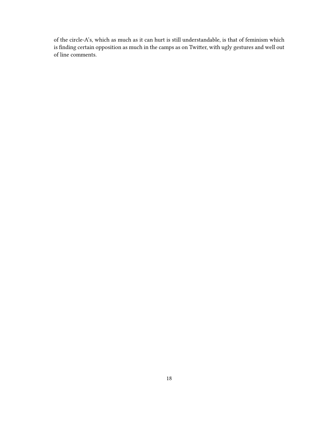of the circle-A's, which as much as it can hurt is still understandable, is that of feminism which is finding certain opposition as much in the camps as on Twitter, with ugly gestures and well out of line comments.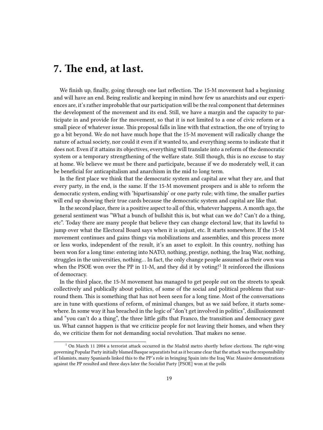### <span id="page-18-0"></span>**7. The end, at last.**

We finish up, finally, going through one last reflection. The 15-M movement had a beginning and will have an end. Being realistic and keeping in mind how few us anarchists and our experiences are, it's rather improbable that our participation will be the real component that determines the development of the movement and its end. Still, we have a margin and the capacity to participate in and provide for the movement, so that it is not limited to a one of civic reform or a small piece of whatever issue. This proposal falls in line with that extraction, the one of trying to go a bit beyond. We do not have much hope that the 15-M movement will radically change the nature of actual society, nor could it even if it wanted to, and everything seems to indicate that it does not. Even if it attains its objectives, everything will translate into a reform of the democratic system or a temporary strengthening of the welfare state. Still though, this is no excuse to stay at home. We believe we must be there and participate, because if we do moderately well, it can be beneficial for anticapitalism and anarchism in the mid to long term.

In the first place we think that the democratic system and capital are what they are, and that every party, in the end, is the same. If the 15-M movement prospers and is able to reform the democratic system, ending with 'bipartisanship' or one party rule; with time, the smaller parties will end up showing their true cards because the democratic system and capital are like that.

In the second place, there is a positive aspect to all of this, whatever happens. A month ago, the general sentiment was "What a bunch of bullshit this is, but what can we do? Can't do a thing, etc". Today there are many people that believe they can change electoral law, that its lawful to jump over what the Electoral Board says when it is unjust, etc. It starts somewhere. If the 15-M movement continues and gains things via mobilizations and assemblies, and this process more or less works, independent of the result, it's an asset to exploit. In this country, nothing has been won for a long time: entering into NATO, nothing, prestige, nothing, the Iraq War, nothing, struggles in the universities, nothing… In fact, the only change people assumed as their own was when the PSOE won over the PP in 11-M, and they did it by voting!<sup>1</sup> It reinforced the illusions of democracy.

In the third place, the 15-M movement has managed to get people out on the streets to speak collectively and publically about politics, of some of the social and political problems that surround them. This is something that has not been seen for a long time. Most of the conversations are in tune with questions of reform, of minimal changes, but as we said before, it starts somewhere. In some way it has breached in the logic of "don't get involved in politics", disillusionment and "you can't do a thing", the three little gifts that Franco, the transition and democracy gave us. What cannot happen is that we criticize people for not leaving their homes, and when they do, we criticize them for not demanding social revolution. That makes no sense.

 $1$  On March 11 2004 a terrorist attack occurred in the Madrid metro shortly before elections. The right-wing governing Popular Party initially blamed Basque separatists but as it became clear that the attack was the responsibility of Islamists, many Spaniards linked this to the PP's role in bringing Spain into the Iraq War. Massive demonstrations against the PP resulted and three days later the Socialist Party [PSOE] won at the polls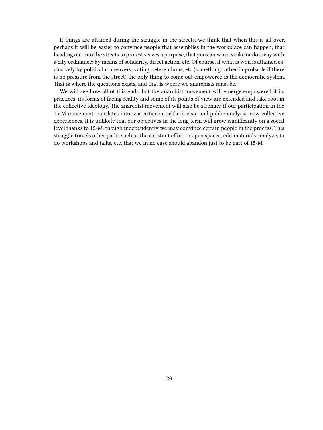If things are attained during the struggle in the streets, we think that when this is all over, perhaps it will be easier to convince people that assemblies in the workplace can happen, that heading out into the streets to protest serves a purpose, that you can win a strike or do away with a city ordinance: by means of solidarity, direct action, etc. Of course, if what is won is attained exclusively by political maneuvers, voting, referendums, etc (something rather improbable if there is no pressure from the street) the only thing to come out empowered is the democratic system. That is where the questions exists, and that is where we anarchists must be.

We will see how all of this ends, but the anarchist movement will emerge empowered if its practices, its forms of facing reality and some of its points of view are extended and take root in the collective ideology. The anarchist movement will also be stronger if our participation in the 15-M movement translates into, via criticism, self-criticism and public analysis, new collective experiences. It is unlikely that our objectives in the long term will grow significantly on a social level thanks to 15-M, though independently we may convince certain people in the process. This struggle travels other paths such as the constant effort to open spaces, edit materials, analyze, to do workshops and talks, etc, that we in no case should abandon just to be part of 15-M.